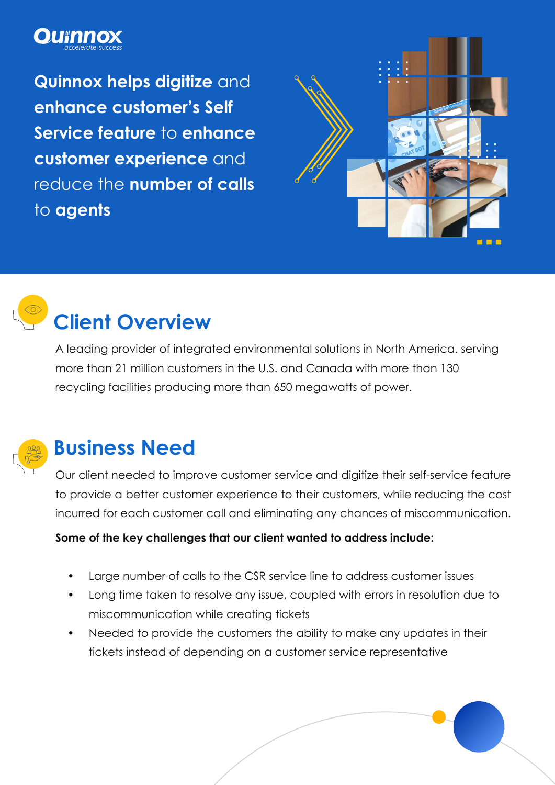## **OU**Thno

**Quinnox helps digitize** and **enhance customer's Self Service feature** to **enhance customer experience** and reduce the **number of calls**  to **agents**





# **Client Overview**

A leading provider of integrated environmental solutions in North America. serving more than 21 million customers in the U.S. and Canada with more than 130 recycling facilities producing more than 650 megawatts of power.



### **Business Need**

Our client needed to improve customer service and digitize their self-service feature to provide a better customer experience to their customers, while reducing the cost incurred for each customer call and eliminating any chances of miscommunication.

#### **Some of the key challenges that our client wanted to address include:**

- Large number of calls to the CSR service line to address customer issues
- Long time taken to resolve any issue, coupled with errors in resolution due to miscommunication while creating tickets
- Needed to provide the customers the ability to make any updates in their tickets instead of depending on a customer service representative